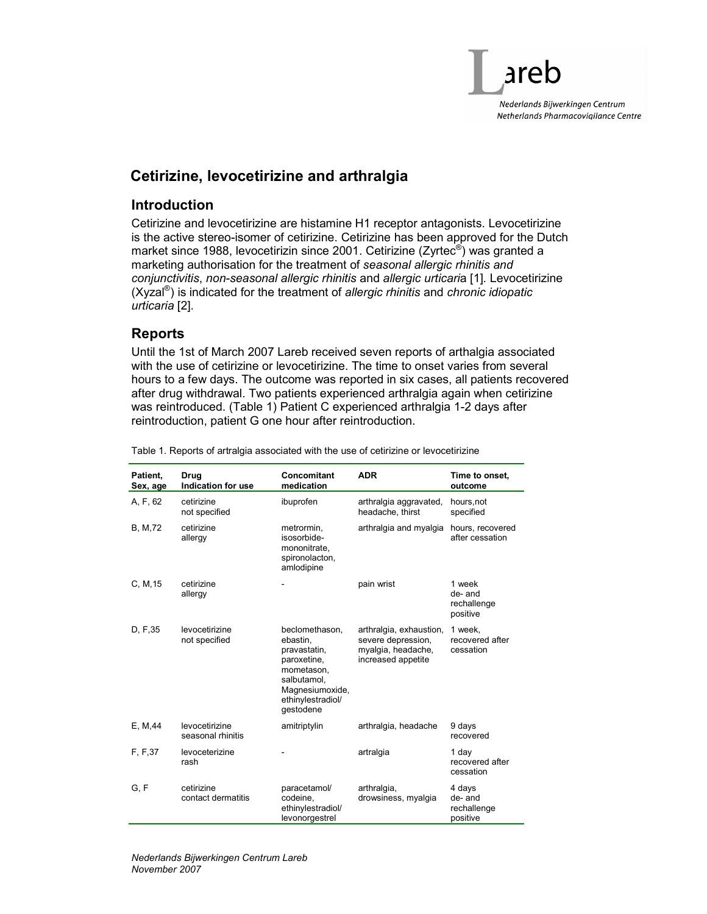

# Cetirizine, levocetirizine and arthralgia

#### **Introduction**

Cetirizine and levocetirizine are histamine H1 receptor antagonists. Levocetirizine is the active stereo-isomer of cetirizine. Cetirizine has been approved for the Dutch market since 1988, levocetirizin since 2001. Cetirizine (Zyrtec®) was granted a marketing authorisation for the treatment of seasonal allergic rhinitis and conjunctivitis, non-seasonal allergic rhinitis and allergic urticaria [1]. Levocetirizine  $(Xyzal<sup>®</sup>)$  is indicated for the treatment of allergic rhinitis and chronic idiopatic urticaria [2].

### Reports

Until the 1st of March 2007 Lareb received seven reports of arthalgia associated with the use of cetirizine or levocetirizine. The time to onset varies from several hours to a few days. The outcome was reported in six cases, all patients recovered after drug withdrawal. Two patients experienced arthralgia again when cetirizine was reintroduced. (Table 1) Patient C experienced arthralgia 1-2 days after reintroduction, patient G one hour after reintroduction.

| Patient,<br>Sex, age | Drug<br>Indication for use          | Concomitant<br>medication                                                                                                                   | <b>ADR</b>                                                                                | Time to onset.<br>outcome                   |  |
|----------------------|-------------------------------------|---------------------------------------------------------------------------------------------------------------------------------------------|-------------------------------------------------------------------------------------------|---------------------------------------------|--|
| A, F, 62             | cetirizine<br>not specified         | ibuprofen                                                                                                                                   | arthralgia aggravated,<br>headache, thirst                                                | hours, not<br>specified                     |  |
| B, M, 72             | cetirizine<br>allergy               | metrormin,<br>isosorbide-<br>mononitrate,<br>spironolacton,<br>amlodipine                                                                   | arthralgia and myalgia                                                                    | hours, recovered<br>after cessation         |  |
| C, M, 15             | cetirizine<br>allergy               |                                                                                                                                             | pain wrist                                                                                | 1 week<br>de-and<br>rechallenge<br>positive |  |
| D, F, 35             | levocetirizine<br>not specified     | beclomethason,<br>ebastin,<br>pravastatin,<br>paroxetine,<br>mometason,<br>salbutamol.<br>Magnesiumoxide,<br>ethinylestradiol/<br>qestodene | arthralgia, exhaustion,<br>severe depression,<br>myalgia, headache,<br>increased appetite | 1 week,<br>recovered after<br>cessation     |  |
| E, M, 44             | levocetirizine<br>seasonal rhinitis | amitriptylin                                                                                                                                | arthralgia, headache                                                                      | 9 days<br>recovered                         |  |
| F, F, 37             | levoceterizine<br>rash              |                                                                                                                                             | artralgia                                                                                 | 1 day<br>recovered after<br>cessation       |  |
| G, F                 | cetirizine<br>contact dermatitis    | paracetamol/<br>codeine,<br>ethinylestradiol/<br>levonorgestrel                                                                             | arthralgia,<br>drowsiness, myalgia                                                        | 4 days<br>de-and<br>rechallenge<br>positive |  |

Table 1. Reports of artralgia associated with the use of cetirizine or levocetirizine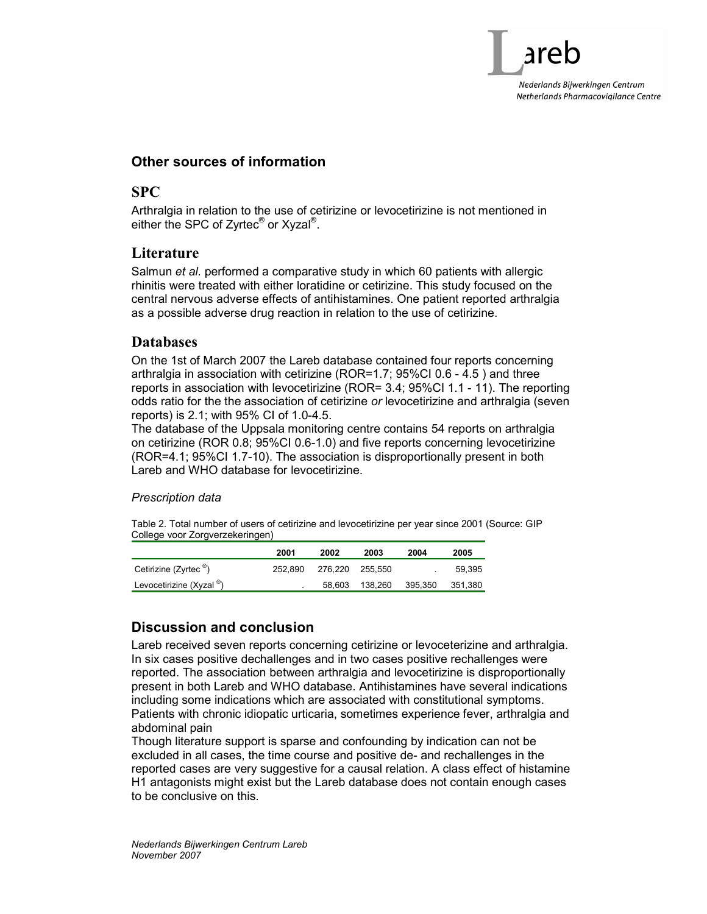## Other sources of information

#### SPC

Arthralgia in relation to the use of cetirizine or levocetirizine is not mentioned in either the SPC of Zyrtec<sup>®</sup> or Xyzal<sup>®</sup>.

#### **Literature**

Salmun et al. performed a comparative study in which 60 patients with allergic rhinitis were treated with either loratidine or cetirizine. This study focused on the central nervous adverse effects of antihistamines. One patient reported arthralgia as a possible adverse drug reaction in relation to the use of cetirizine.

#### Databases

On the 1st of March 2007 the Lareb database contained four reports concerning arthralgia in association with cetirizine (ROR=1.7; 95%CI 0.6 - 4.5 ) and three reports in association with levocetirizine (ROR= 3.4; 95%CI 1.1 - 11). The reporting odds ratio for the the association of cetirizine or levocetirizine and arthralgia (seven reports) is 2.1; with 95% CI of 1.0-4.5.

The database of the Uppsala monitoring centre contains 54 reports on arthralgia on cetirizine (ROR 0.8; 95%CI 0.6-1.0) and five reports concerning levocetirizine (ROR=4.1; 95%CI 1.7-10). The association is disproportionally present in both Lareb and WHO database for levocetirizine.

#### Prescription data

Table 2. Total number of users of cetirizine and levocetirizine per year since 2001 (Source: GIP College voor Zorgverzekeringen)

|                          | 2001    | 2002            | 2003    | 2004    | 2005    |
|--------------------------|---------|-----------------|---------|---------|---------|
| Cetirizine (Zyrtec ®)    | 252.890 | 276.220 255.550 |         |         | 59.395  |
| Levocetirizine (Xyzal ®) |         | 58.603          | 138.260 | 395,350 | 351,380 |

# Discussion and conclusion

Lareb received seven reports concerning cetirizine or levoceterizine and arthralgia. In six cases positive dechallenges and in two cases positive rechallenges were reported. The association between arthralgia and levocetirizine is disproportionally present in both Lareb and WHO database. Antihistamines have several indications including some indications which are associated with constitutional symptoms. Patients with chronic idiopatic urticaria, sometimes experience fever, arthralgia and abdominal pain

Though literature support is sparse and confounding by indication can not be excluded in all cases, the time course and positive de- and rechallenges in the reported cases are very suggestive for a causal relation. A class effect of histamine H1 antagonists might exist but the Lareb database does not contain enough cases to be conclusive on this.